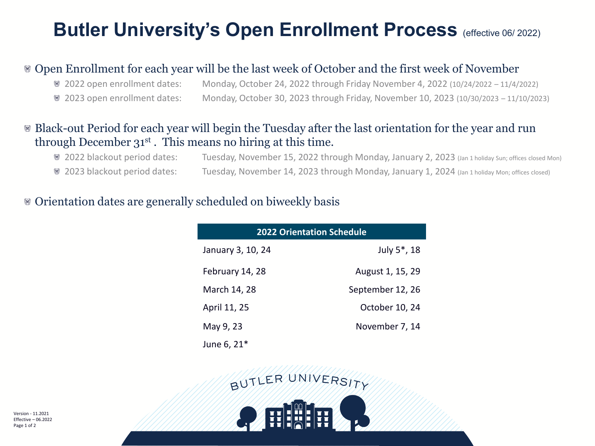## **Butler University's Open Enrollment Process (effective 06/ 2022)**

## Open Enrollment for each year will be the last week of October and the first week of November

2022 open enrollment dates: Monday, October 24, 2022 through Friday November 4, 2022 (10/24/2022 – 11/4/2022) 2023 open enrollment dates: Monday, October 30, 2023 through Friday, November 10, 2023 (10/30/2023 – 11/10/2023)

## Black-out Period for each year will begin the Tuesday after the last orientation for the year and run through December 31st . This means no hiring at this time.

| <sup>88</sup> 2022 blackout period dates: | Tuesday, November 15, 2022 through Monday, January 2, 2023 (Jan 1 holiday Sun; offices closed Mon) |
|-------------------------------------------|----------------------------------------------------------------------------------------------------|
| <sup>88</sup> 2023 blackout period dates: | Tuesday, November 14, 2023 through Monday, January 1, 2024 (Jan 1 holiday Mon; offices closed)     |

#### Orientation dates are generally scheduled on biweekly basis

| <b>2022 Orientation Schedule</b> |                          |  |  |  |
|----------------------------------|--------------------------|--|--|--|
| January 3, 10, 24                | July 5 <sup>*</sup> , 18 |  |  |  |
| February 14, 28                  | August 1, 15, 29         |  |  |  |
| March 14, 28                     | September 12, 26         |  |  |  |
| April 11, 25                     | October 10, 24           |  |  |  |
| May 9, 23                        | November 7, 14           |  |  |  |
| June 6, 21 <sup>*</sup>          |                          |  |  |  |